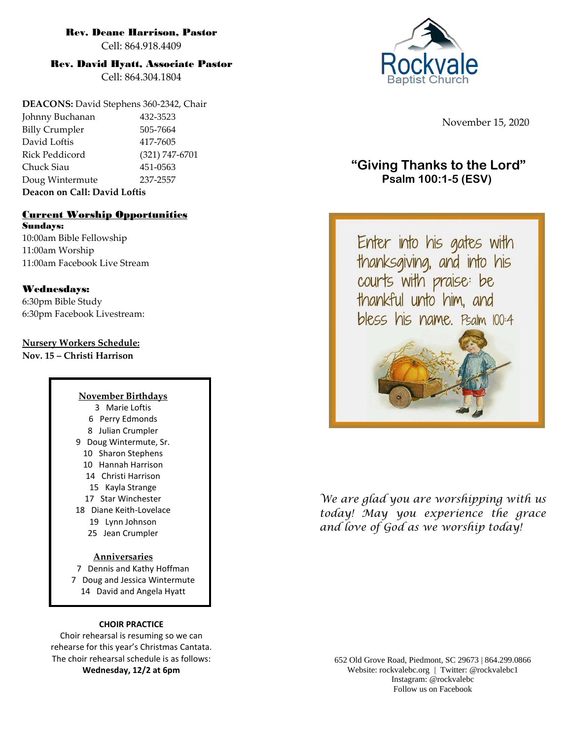#### Rev. Deane Harrison, Pastor

Cell: 864.918.4409

#### Rev. David Hyatt, Associate Pastor

Cell: 864.304.1804

**DEACONS:** David Stephens 360-2342, Chair Johnny Buchanan 432-3523 Billy Crumpler 505-7664 David Loftis 417-7605 Rick Peddicord (321) 747-6701 Chuck Siau 451-0563 Doug Wintermute 237-2557 **Deacon on Call: David Loftis**

#### Current Worship Opportunities Sundays:

10:00am Bible Fellowship 11:00am Worship 11:00am Facebook Live Stream

#### Wednesdays:

6:30pm Bible Study 6:30pm Facebook Livestream:

#### **Nursery Workers Schedule:**

**Nov. 15 – Christi Harrison**

#### **November Birthdays** 3 Marie Loftis 6 Perry Edmonds 8 Julian Crumpler 9 Doug Wintermute, Sr. 10 Sharon Stephens 10 Hannah Harrison 14 Christi Harrison 15 Kayla Strange 17 Star Winchester 18 Diane Keith-Lovelace 19 Lynn Johnson 25 Jean Crumpler

#### **Anniversaries**

7 Dennis and Kathy Hoffman 7 Doug and Jessica Wintermute 14 David and Angela Hyatt

#### **CHOIR PRACTICE**

Choir rehearsal is resuming so we can rehearse for this year's Christmas Cantata. The choir rehearsal schedule is as follows: **Wednesday, 12/2 at 6pm**

November 15, 2020

# **"Giving Thanks to the Lord" Psalm 100:1-5 (ESV)**

Enter into his gates with thanksgiving, and into his<br>courts with praise: be thankful unto him, and bless his name. Psalm 100:4



*We are glad you are worshipping with us today! May you experience the grace and love of God as we worship today!*

652 Old Grove Road, Piedmont, SC 29673 | 864.299.0866 Website: rockvalebc.org *|* Twitter: @rockvalebc1 Instagram: @rockvalebc Follow us on Facebook